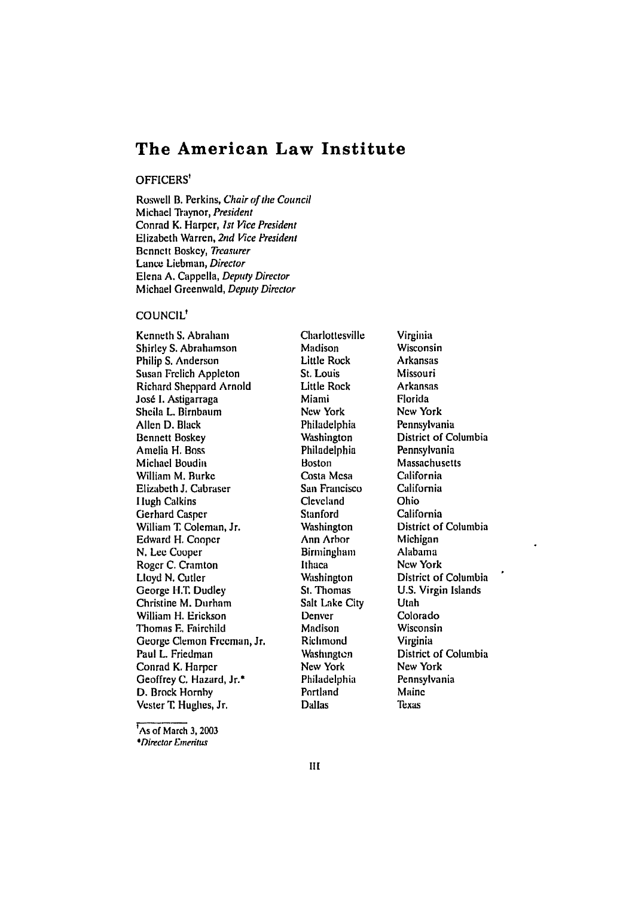# **The American Law Institute**

#### OFFICERS'

Roswell B. Perkins, Chair *of* the Council Michael Traynor, President Conrad K. Harper, *1st* Vice President Elizabeth Warren, 2nd Vice President Bennett Boskey, Treasurer Lance Liebman, Director Elena A. Cappella, Deputy Director Michael Greenwald, Deputy Director

# COUNCIL'

Kenneth **S.** Abraham Shirley **S.** Abrahamson Philip **S.** Anderson Susan Frelich Appleton Richard Sheppard Arnold José I. Astigarraga Sheila L. Birnbaum Allen **D.** Black Bennett Boskey Amelia H. Boss Michael Boudin William M. Burke Elizabeth **J.** Cabraser 1 lugh Calkins Gerhard Casper William T Coleman, Jr. Edward H. Cooper **N.** Lee Cooper Roger **C.** Cramton **Lloyd** N. Cutler George H.T. Dudley Christine M. Durham William H. Erickson Thomas **F,** Fairchild George Clemon Freeman, Jr. Paul L. Friedman Conrad K. Harper Geoffrey C. Hazard, Jr.\* D. Brock Hornby Vester **T.** Hughes, Jr.

Charlottesville Madison Little Rock St. Louis Little Rock Miami New York Philadelphia Washington Philadelphia Boston Costa Mesa San Francisco Cleveland Stanford **Washington** Ann Arbor **Birmingham** Ithaca **Washington** St. Thomas Salt Lake City Denver Madison **Richmond Washington** New York Philadelphia Portland Dallas

Virginia Wisconsin Arkansas Missouri Arkansas Florida New York Pennsylvania District of Columbia Pennsylvania Massachusetts California California Ohio California District of Columbia Michigan Alabama New York District of Columbia U.S. Virgin Islands Utah Colorado Wisconsin Virginia District of Columbia New York Pennsylvania Maine Texas

'As of March **3, <sup>2003</sup>** *\*Director* Dneritus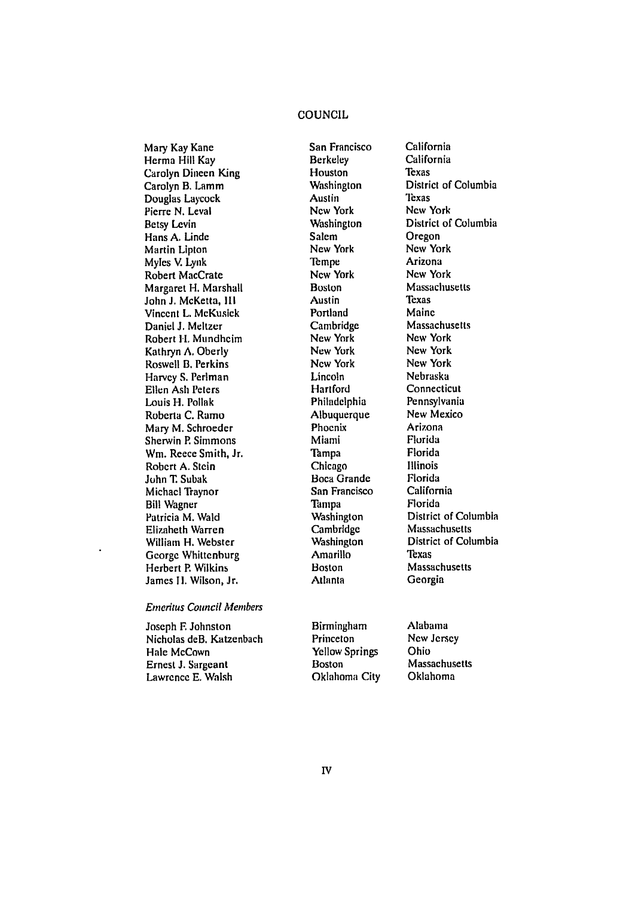# COUNCIL

Mary Kay Kane Herma Hill Kay Carolyn Dineen King Carolyn B. Lamm Douglas Laycock Pierre N. Leval Betsy Levin Hans **A.** Linde Martin Lipton Myles V. Lynk Robert MacCrate Margaret H. Marshall John **J.** McKetta, **III** Vincent L. McKusick Daniel **J.** Meltzer Robert **H.** Mundheim Kathryn **A.** Oberly Roswell B. Perkins Harvey S. Perlman Ellen Ash Peters Louis H. Pollak Roberta C. Ramo Mary M. Schroeder Sherwin P. Simmons Win. Reece Smith, Jr. Robert A. Stein John T. Subak Michael Traynor Bill Wagner Patricia M. Wald Elizabeth Warren William H. Webster George Whittcnburg Herbert P. Wilkins James **I1.** Wilson, Jr.

#### *Emeritus Council Members*

Joseph F. Johnston Nicholas deB. Katzenbach Hale McCown Ernest **J.** Sargeant Lawrence E. Walsh

San Francisco Berkeley Houston **Washington** Austin New York **Washington** Salem New York Tempe New York Boston Austin Portland Cambridge New York New York New York Lincoln Hartford Philadelphia Albuquerque Phoenix Miami Tampa Chicago Boca Grande San Francisco Tampa Washington Cambridge **Washington** Amarillo Boston Atlanta

California Texas District of Columbia **Texas** New York District of Columbia **Oregon** New York Arizona New York Massachusetts Texas Maine Massachusetts New York New York New York Nebraska Connecticut Pennsylvania New Mexico Arizona Florida Florida Illinois Florida California Florida District of Columbia Massachusetts District of Columbia Texas Massachusetts Georgia

California

Birmingham Princeton Yellow Springs Boston Oklahoma City Alabama New Jersey Ohio Massachusetts Oklahoma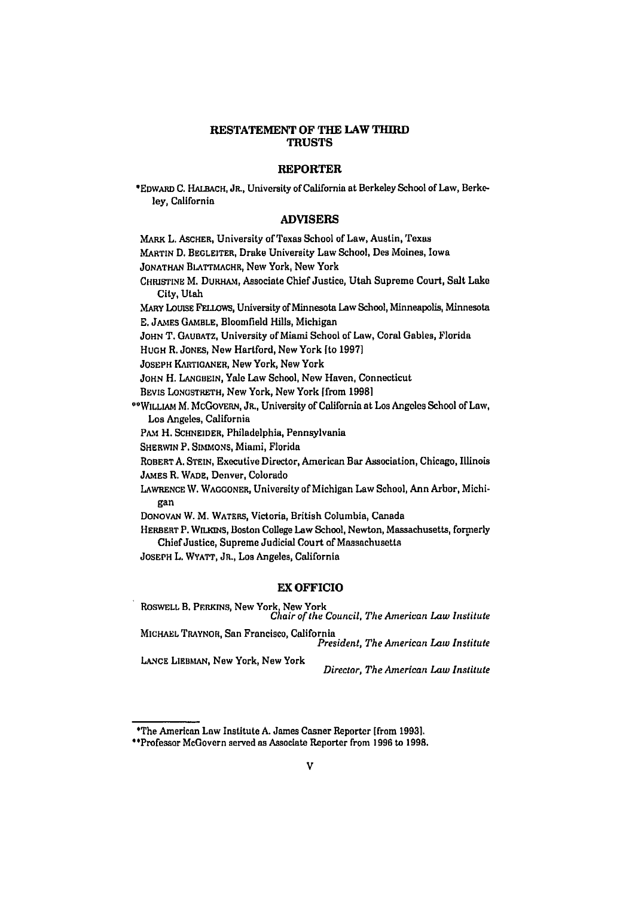# **RESTATEMENT OF THE LAW THIRD TRUSTS**

#### **REPORTER**

\*EDWARD **C.** HALBACH, JR., University of California at Berkeley School of Law, Berkeley, California

#### **ADVISERS**

MARK L. ASCHER, University of Texas School of Law, Austin, Texas MARTIN D. BEGLEITER, Drake University Law School, Des Moines, Iowa JONATHAN BLATTMACHR, New York, New York CHRISTINE M. DURHAM, Associate Chief Justice, Utah Supreme Court, Salt Lake City, Utah MARY LoUISE FELLOWS, University of Minnesota Law School, Minneapolis, Minnesota **E.** JAMES GAMBLE, Bloomfield Hills, Michigan JOHN T. GAUBATZ, University of Miami School of Law, Coral Gables, Florida **HUGH** R. JONES, New Hartford, New York [to **1997]** JOSEPH KARTIGANER, New York, New York JOHN H. LANGBEIN, Yale Law School, New Haven, Connecticut BEvIS LONGSTRETH, New York, New York [from **19981** "WILLIAM M. MCGOVERN, JR., University of California at Los Angeles School of Law, Los Angeles, California **PAM** H. **SCHNEIDER,** Philadelphia, Pennsylvania SHERWIN P. SIMMONS, Miami, Florida ROBERTA. STEIN, Executive Director, American Bar Association, Chicago, Illinois JAMES R. WADE, Denver, Colorado LAWRENCE W. WAGGONER, University of Michigan Law School, Ann Arbor, Michigan DONOVAN W. M. WATERS, Victoria, British Columbia, Canada HERBERT P. WILKINS, Boston College Law School, Newton, Massachusetts, formerly Chief Justice, Supreme Judicial Court of Massachusetts JOSEPH L. WYATT, JR., Los Angeles, California

### EX OFFICIO

ROSWELL B. PERKINS, New York, New York *Chair of the Council, The American Law Institute* MICHAEL TRAYNOR, San Francisco, California *President, The American Law Institute* LANCE **LIEBMAN, New York, New York** *Director, The American Law Institute*

<sup>&#</sup>x27;The American Law Institute **A.** James Casner Reporter [from **1993].**

<sup>&</sup>quot;Professor McGovern served as Associate Reporter from **1996** to **1998.**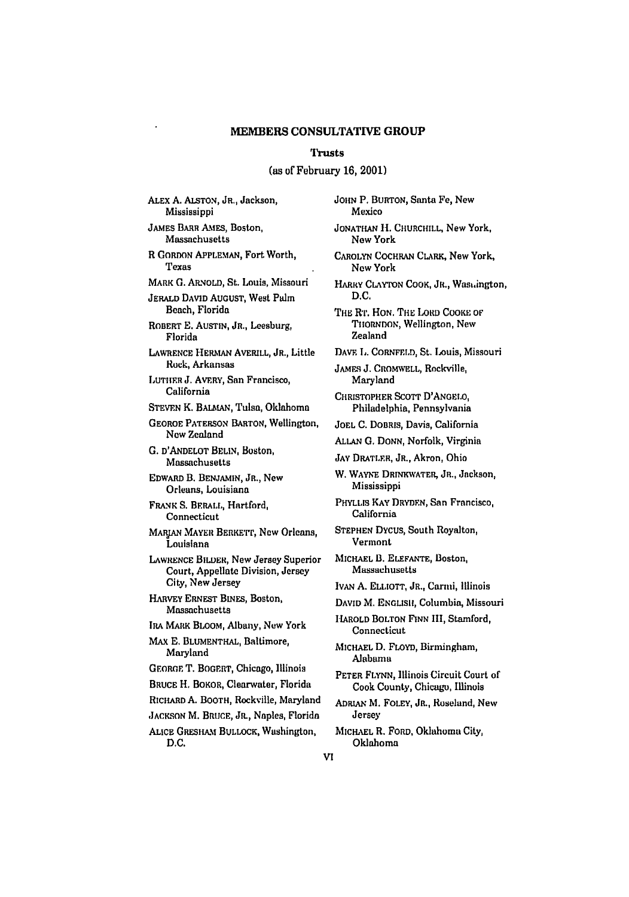#### **Trusts**

# (as of February **16, 2001)**

ALEX **A.** ALSTON, JR., Jackson, Mississippi

JAMES BARR AMEs, Boston, Massachusetts

R GORDON APPLEMAN, Fort Worth, Texas

MARK **G.** ARNOLD, St. Louis, Missouri

**JERALD DAVID** AUGUST, West Palm Beach, Florida

ROBERT E. AUSTIN, JR., Leesburg, Florida

LAWRENCE HERMAN AVERILL, JR., Little Rock, Arkansas

LUTHER **J.** AVERY, San Francisco, California

STEVEN K. BAIAAN, Tulsa, Oldahoma

GEORGE PATERSON BARTON, Wellington, Now Zealand

**G. D'ANDELOT** BELIN, Boston, Massachusetts

EDWARD B. **BENJAMIN,** JR., *New* Orleans, Louisiana

FRANK **S. BERAI.,** Hartford, Connecticut

MARIAN MAYER BERKETT, New Orleans, Louisiana

LAWRENCE BILDER, New Jersey Superior Court, Appellate Division, Jersey City, New Jersey

HARVEY ERNEST BINES, Boston, Massachusetts

IRA MARK BLOOM, Albany, New York

MAX E. BLUMENTHAL, Baltimore, Maryland

GEORGE T. **BOGERT,** Chicago, Illinois

BRUCE H. BOKOR, Clearwater, Florida

RICHARD **A.** BOOTH, Rockville, Maryland

JACKSON M. BRUCE, **JR.,** Naples, Florida

ALICE GRESHAM BULLOCK, Washington, D.C.

JOHN P. BURTON, Santa Fe, New Mexico JONATHAN H. CHURCHILL, New York, **Now** York CAROLYN COCHRAN CLARK, *New* York, **Now** York HARRY **CLAYTON** COOK, JR., Wast.ington, D.C. *THE* R'r. **HON.** THE LoRD CooKE oF TIIORNDON, Wellington, New Zealand DAVE **L.** CORNFELD, St. Louis, Missouri **JAMF.s** J. CROMWELL, Rockville, Maryland CHRISTOPHER SCOTT D'ANGEO, Philadelphia, Pennsylvania **JOEL** C. DOBRIs, Davis, California **ALLAN G.** DONN, Norfolk, Virginia JAY DRATLER, JR., Akron, Ohio W. WAYNE **DRNKWATER,** JR., Jackson, Mississippi PHYLLIS KAY DRYDEN, San Francisco, California STEPHEN DYCUS, South Royalton, Vermont MICHAEL **B.** ELEFANTE, Boston, Massachusetts Ivan A. ELLIOTT, JR., Carmi, *Illinois* **DAVID** M. ENGLISH, Columbia, Missouri -IAROLD BOLTON FINN III, Stamford, Connecticut MICHAEL D. FLOYD, Birmingham, **Alabama** PETER FLYNN, Illinois Circuit Court of Cook County, Chicago, Illinois ADRIAN M. FOLEY, JR., Roseland, New Jersey MICHAEL R, FORD, Oklahoma **City,**

Oklahoma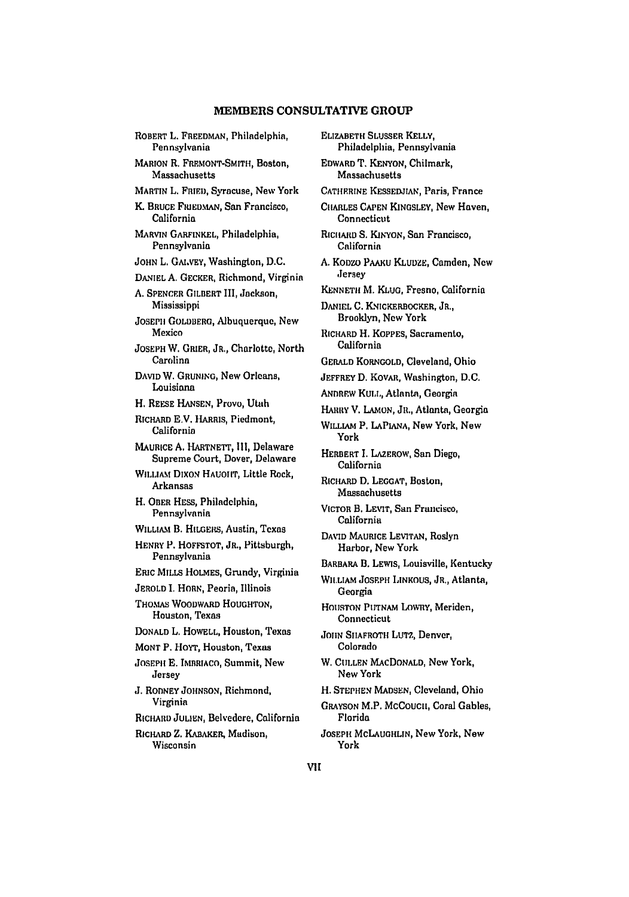#### MEMBERS **CONSULTATIVE** GROUP

ROBERT L. FREEDMAN, Philadelphia, Pennsylvania MARION R. FREMONT-SMITH, Boston, Massachusetts MARTIN L. FRIED, Syracuse, New York K. BRUCE FRIEDMAN, San Francisco, California MARVIN GARFINKEL, Philadelphia, Pennsylvania JOHN L. GAIvEY, Washington, D.C. DANIEL A. GECKER, Richmond, Virginia **A.** SPENCER GILBERT III, Jackson, Mississippi JOSEPH GOLDBERG, Albuquerque, New Mexico JOSEPH W. GRIER, JR., Charlotte, North Carolina DAVID W. GRUNING, **New** Orleans, Louisiana H. REESE HANSEN, Provo, Utah RICHARD E.V. HARRIS, Piedmont, California MAURICE A. HARTNETT, **Ill,** Delaware Supreme Court, Dover, Delaware WILLIAM DIXON HAUGHT, Little Rock, Arkansas H. OBER HESS, Philadelphia, Pennsylvania WILLIAM B. HILGERS, Austin, Texas HENRY P. HOFFSTOT, JR., Pittsburgh, Pennsylvania ERIC MILLS HOLMES, Grundy, Virginia JEROLD I. HORN, Peoria, Illinois THOMAS WOODWARD HOUGHTON, Houston, Texas **DONALD** L. HOWELL, Houston, Texas MONT P. HoYT, Houston, Texas JOSEPH E. IMBRIACO, Summit, New Jersey **J.** RODNEY JOHNSON, Richmond, Virginia RICHARD JULIEN, Belvedere, California RICHARD Z. KABAKER, Madison, Wisconsin

ELIZABETH SLUSSER KELLY, Philadelphia, Pennsylvania EDWARD T. KENYON, Chilmark, **Massachusetts** CATHERINE KESSEDJIAN, Paris, France CIIARLES **CAPEN** KINGSLEY, New Haven, Connecticut RICHARD S. KINYON, San Francisco, California A. Koozo *PmU* KL LuzE, Camden, **New** Jersey KENNETH M. KLUG, Fresno, California DANIEL **C.** KNICKERBOCKER, JR., Brooklyn, New York RICHARD H. KOPPES, Sacramento, California GERALD KORNGOLD, Cleveland, Ohio JEFFREY D. KOVAR, Washington, D.C. ANDREW KULL, Atlanta, Georgia HARRY V. LAMON, JR., Atlanta, Georgia WIULmM P. **LAPIANA,** New York, **New** York HERBERT I. LAZEROW, San Diego, California RICHARD **D.** LEGGAT, Boston, Massachusetts VICTOR B. LEVIT, San Francisco, California **DAVID** MAURICE LEVITAN, Roslyn Harbor, New York BARBARA B. LEWIS, Louisville, Kentucky WILLIAM JOSEPH **LINKOUS,** JR., Atlanta, Georgia HOUSTON PUTNAM LOWRY, Meriden, Connecticut **JOIIN SHAFROTH LUTZ, Denver,** Colorado W. CULLEN MACDONALD, New York, New York H. **STEPHEN MADSEN,** Cleveland, Ohio GRAYSON M.P. **MCCOUCH,** Coral Gables, Florida JOSEPH McLAUGHLIN, New York, New York